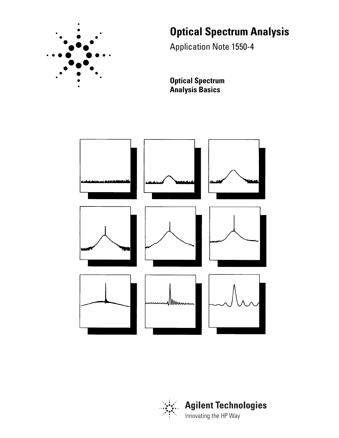

# **Optical Spectrum Analysis**

Application Note 1550-4

**Optical Spectrum Analysis Basics**



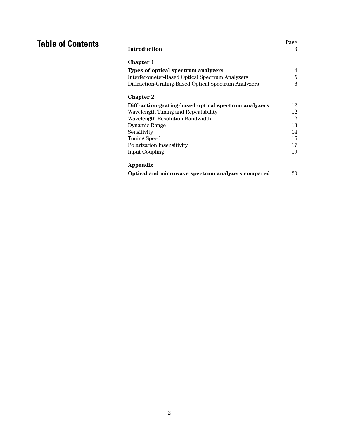| <b>Introduction</b>                                  | Page<br>3 |
|------------------------------------------------------|-----------|
| <b>Chapter 1</b>                                     |           |
| Types of optical spectrum analyzers                  | 4         |
| Interferometer-Based Optical Spectrum Analyzers      | 5         |
| Diffraction-Grating-Based Optical Spectrum Analyzers | 6         |
| <b>Chapter 2</b>                                     |           |
| Diffraction-grating-based optical spectrum analyzers | 12        |
| Wavelength Tuning and Repeatability                  | 12        |
| Wavelength Resolution Bandwidth                      | 12        |
| Dynamic Range                                        | 13        |
| Sensitivity                                          | 14        |
| <b>Tuning Speed</b>                                  | 15        |
| Polarization Insensitivity                           | 17        |
| <b>Input Coupling</b>                                | 19        |
| Appendix                                             |           |
| Optical and microwave spectrum analyzers compared    | 20        |

**Table of Contents**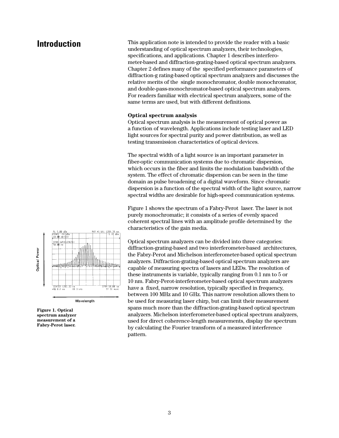**Introduction** This application note is intended to provide the reader with a basic understanding of optical spectrum analyzers, their technologies, specifications, and applications. Chapter 1 describes interferometer-based and diffraction-grating-based optical spectrum analyzers. Chapter 2 defines many of the specified performance parameters of diffraction-g rating-based optical spectrum analyzers and discusses the relative merits of the single monochromator, double monochromator, and double-pass-monochromator-based optical spectrum analyzers. For readers familiar with electrical spectrum analyzers, some of the same terms are used, but with different definitions.

# **Optical spectrum analysis**

Optical spectrum analysis is the measurement of optical power as a function of wavelength. Applications include testing laser and LED light sources for spectral purity and power distribution, as well as testing transmission characteristics of optical devices.

The spectral width of a light source is an important parameter in fiber-optic communication systems due to chromatic dispersion, which occurs in the fiber and limits the modulation bandwidth of the system. The effect of chromatic dispersion can be seen in the time domain as pulse broadening of a digital waveform. Since chromatic dispersion is a function of the spectral width of the light source, narrow spectral widths are desirable for high-speed communication systems.

Figure 1 shows the spectrum of a Fabry-Perot laser. The laser is not purely monochromatic; it consists of a series of evenly spaced coherent spectral lines with an amplitude profile determined by the characteristics of the gain media.

Optical spectrum analyzers can be divided into three categories: diffraction-grating-based and two interferometer-based architectures, the Fabry-Perot and Michelson interferometer-based optical spectrum analyzers. Diffraction-grating-based optical spectrum analyzers are capable of measuring spectra of lasers and LEDs. The resolution of these instruments is variable, typically ranging from 0.1 nm to 5 or 10 nm. Fabry-Perot-interferometer-based optical spectrum analyzers have a fixed, narrow resolution, typically specified in frequency, between 100 MHz and 10 GHz. This narrow resolution allows them to be used for measuring laser chirp, but can limit their measurement spans much more than the diffraction-grating-based optical spectrum analyzers. Michelson interferometer-based optical spectrum analyzers, used for direct coherence-length measurements, display the spectrum by calculating the Fourier transform of a measured interference pattern.





**measurement of a Fabry-Perot laser.**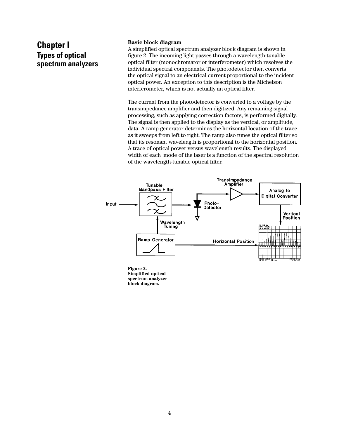# **Chapter I Types of optical spectrum analyzers**

# **Basic block diagram**

A simplified optical spectrum analyzer block diagram is shown in figure 2. The incoming light passes through a wavelength-tunable optical filter (monochromator or interferometer) which resolves the individual spectral components. The photodetector then converts the optical signal to an electrical current proportional to the incident optical power. An exception to this description is the Michelson interferometer, which is not actually an optical filter.

The current from the photodetector is converted to a voltage by the transimpedance amplifier and then digitized. Any remaining signal processing, such as applying correction factors, is performed digitally. The signal is then applied to the display as the vertical, or amplitude, data. A ramp generator determines the horizontal location of the trace as it sweeps from left to right. The ramp also tunes the optical filter so that its resonant wavelength is proportional to the horizontal position. A trace of optical power versus wavelength results. The displayed width of each mode of the laser is a function of the spectral resolution of the wavelength-tunable optical filter.



**Figure 2. Simplified optical spectrum analyzer block diagram.**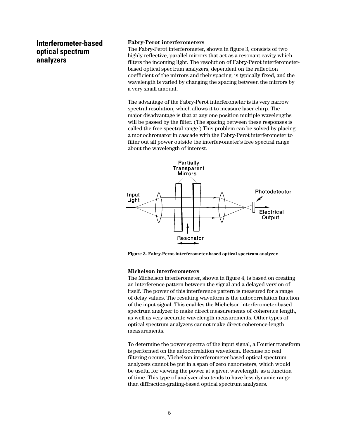# **Interferometer-based optical spectrum analyzers**

# **Fabry-Perot interferometers**

The Fabry-Perot interferometer, shown in figure 3, consists of two highly reflective, parallel mirrors that act as a resonant cavity which filters the incoming light. The resolution of Fabry-Perot interferometerbased optical spectrum analyzers, dependent on the reflection coefficient of the mirrors and their spacing, is typically fixed, and the wavelength is varied by changing the spacing between the mirrors by a very small amount.

The advantage of the Fabry-Perot interferometer is its very narrow spectral resolution, which allows it to measure laser chirp. The major disadvantage is that at any one position multiple wavelengths will be passed by the filter. (The spacing between these responses is called the free spectral range.) This problem can be solved by placing a monochromator in cascade with the Fabry-Perot interferometer to filter out all power outside the interfer-ometer's free spectral range about the wavelength of interest.



**Figure 3. Fabry-Perot-interferometer-based optical spectrum analyzer.**

#### **Michelson interferometers**

The Michelson interferometer, shown in figure 4, is based on creating an interference pattern between the signal and a delayed version of itself. The power of this interference pattern is measured for a range of delay values. The resulting waveform is the autocorrelation function of the input signal. This enables the Michelson interferometer-based spectrum analyzer to make direct measurements of coherence length, as well as very accurate wavelength measurements. Other types of optical spectrum analyzers cannot make direct coherence-length measurements.

To determine the power spectra of the input signal, a Fourier transform is performed on the autocorrelation waveform. Because no real filtering occurs, Michelson interferometer-based optical spectrum analyzers cannot be put in a span of zero nanometers, which would be useful for viewing the power at a given wavelength as a function of time. This type of analyzer also tends to have less dynamic range than diffraction-grating-based optical spectrum analyzers.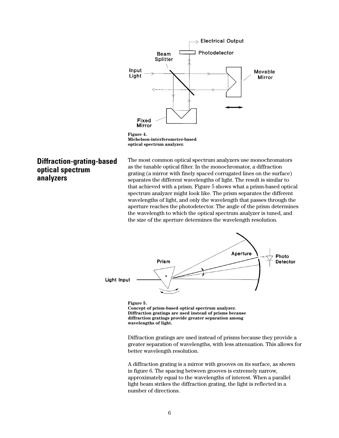

**Michelson-interferometer-based optical spectrum analyzer.**

# **Diffraction-grating-based optical spectrum analyzers**

The most common optical spectrum analyzers use monochromators as the tunable optical filter. In the monochromator, a diffraction grating (a mirror with finely spaced corrugated lines on the surface) separates the different wavelengths of light. The result is similar to that achieved with a prism. Figure 5 shows what a prism-based optical spectrum analyzer might look like. The prism separates the different wavelengths of light, and only the wavelength that passes through the aperture reaches the photodetector. The angle of the prism determines the wavelength to which the optical spectrum analyzer is tuned, and the size of the aperture determines the wavelength resolution.



**Figure 5. Concept of prism-based optical spectrum analyzer. Diffraction gratings are used instead of prisms because diffraction gratings provide greater separation among wavelengths of light.**

Diffraction gratings are used instead of prisms because they provide a greater separation of wavelengths, with less attenuation. This allows for better wavelength resolution.

A diffraction grating is a mirror with grooves on its surface, as shown in figure 6. The spacing between grooves is extremely narrow, approximately equal to the wavelengths of interest. When a parallel light beam strikes the diffraction grating, the light is reflected in a number of directions.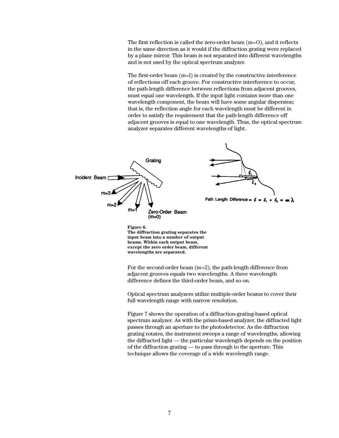The first reflection is called the zero-order beam (m=O), and it reflects in the same direction as it would if the diffraction grating were replaced by a plane mirror. This beam is not separated into different wavelengths and is not used by the optical spectrum analyzer.

The first-order beam (m=l) is created by the constructive interference of reflections off each groove. For constructive interference to occur, the path-length difference between reflections from adjacent grooves, must equal one wavelength. If the input light contains more than one wavelength component, the beam will have some angular dispersion; that is, the reflection angle for each wavelength must be different in order to satisfy the requirement that the path-length difference off adjacent grooves is equal to one wavelength. Thus, the optical spectrum analyzer separates different wavelengths of light.



**beams. Within each output beam, except the zero order beam, different wavelengths are separated.**

For the second-order beam (m=2), the path-length difference from adjacent grooves equals two wavelengths. A three wavelength difference defines the third-order beam, and so on.

Optical spectrum analyzers utilize multiple-order beams to cover their full wavelength range with narrow resolution.

Figure 7 shows the operation of a diffraction-grating-based optical spectrum analyzer. As with the prism-based analyzer, the diffracted light passes through an aperture to the photodetector. As the diffraction grating rotates, the instrument sweeps a range of wavelengths, allowing the diffracted light — the particular wavelength depends on the position of the diffraction grating — to pass through to the aperture. This technique allows the coverage of a wide wavelength range.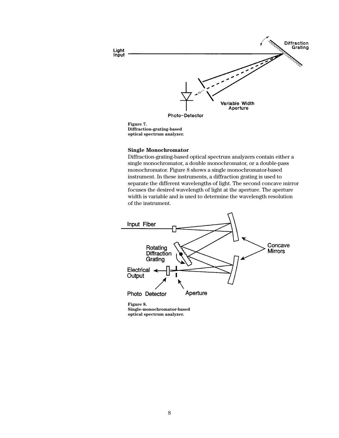

**Figure 7. Diffraction-grating-based optical spectrum analyzer.**

### **Single Monochromator**

Diffraction-grating-based optical spectrum analyzers contain either a single monochromator, a double monochromator, or a double-pass monochromator. Figure 8 shows a single monochromator-based instrument. In these instruments, a diffraction grating is used to separate the different wavelengths of light. The second concave mirror focuses the desired wavelength of light at the aperture. The aperture width is variable and is used to determine the wavelength resolution of the instrument.



**Single-monochromator-based optical spectrum analyzer.**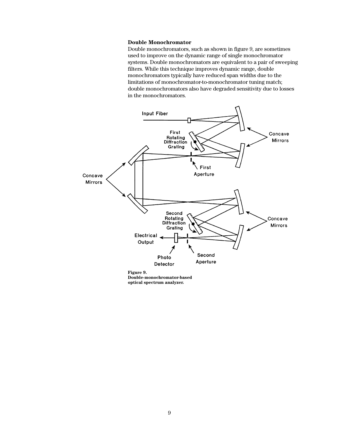### **Double Monochromator**

Double monochromators, such as shown in figure 9, are sometimes used to improve on the dynamic range of single monochromator systems. Double monochromators are equivalent to a pair of sweeping filters. While this technique improves dynamic range, double monochromators typically have reduced span widths due to the limitations of monochromator-to-monochromator tuning match; double monochromators also have degraded sensitivity due to losses in the monochromators.



**Double-monochromator-based optical spectrum analyzer.**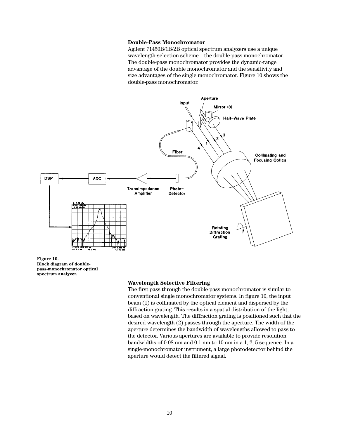### **Double-Pass Monochromator**

Agilent 71450B/1B/2B optical spectrum analyzers use a unique wavelength-selection scheme – the double-pass monochromator. The double-pass monochromator provides the dynamic-range advantage of the double monochromator and the sensitivity and size advantages of the single monochromator. Figure 10 shows the double-pass monochromator.



**Figure 10. Block diagram of doublepass-monochromator optical spectrum analyzer.**

#### **Wavelength Selective Filtering**

The first pass through the double-pass monochromator is similar to conventional single monochromator systems. In figure 10, the input beam (1) is collimated by the optical element and dispersed by the diffraction grating. This results in a spatial distribution of the light, based on wavelength. The diffraction grating is positioned such that the desired wavelength (2) passes through the aperture. The width of the aperture determines the bandwidth of wavelengths allowed to pass to the detector. Various apertures are available to provide resolution bandwidths of 0.08 nm and 0.1 nm to 10 nm in a 1, 2, 5 sequence. In a single-monochromator instrument, a large photodetector behind the aperture would detect the filtered signal.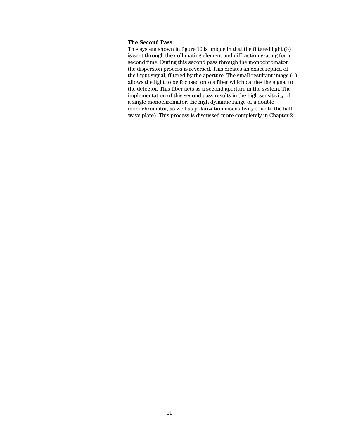## **The Second Pass**

This system shown in figure 10 is unique in that the filtered light (3) is sent through the collimating element and diffraction grating for a second time. During this second pass through the monochromator, the dispersion process is reversed. This creates an exact replica of the input signal, filtered by the aperture. The small resultant image (4) allows the light to be focused onto a fiber which carries the signal to the detector. This fiber acts as a second aperture in the system. The implementation of this second pass results in the high sensitivity of a single monochromator, the high dynamic range of a double monochromator, as well as polarization insensitivity (due to the halfwave plate). This process is discussed more completely in Chapter 2.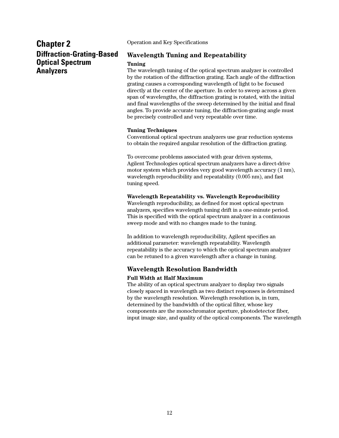# **Chapter 2 Diffraction-Grating-Based Optical Spectrum Analyzers**

Operation and Key Specifications

# **Wavelength Tuning and Repeatability**

# **Tuning**

The wavelength tuning of the optical spectrum analyzer is controlled by the rotation of the diffraction grating. Each angle of the diffraction grating causes a corresponding wavelength of light to be focused directly at the center of the aperture. In order to sweep across a given span of wavelengths, the diffraction grating is rotated, with the initial and final wavelengths of the sweep determined by the initial and final angles. To provide accurate tuning, the diffraction-grating angle must be precisely controlled and very repeatable over time.

# **Tuning Techniques**

Conventional optical spectrum analyzers use gear reduction systems to obtain the required angular resolution of the diffraction grating.

To overcome problems associated with gear driven systems, Agilent Technologies optical spectrum analyzers have a direct-drive motor system which provides very good wavelength accuracy (1 nm), wavelength reproducibility and repeatability (0.005 nm), and fast tuning speed.

# **Wavelength Repeatability vs. Wavelength Reproducibility**

Wavelength reproducibility, as defined for most optical spectrum analyzers, specifies wavelength tuning drift in a one-minute period. This is specified with the optical spectrum analyzer in a continuous sweep mode and with no changes made to the tuning.

In addition to wavelength reproducibility, Agilent specifies an additional parameter: wavelength repeatability. Wavelength repeatability is the accuracy to which the optical spectrum analyzer can be retuned to a given wavelength after a change in tuning.

# **Wavelength Resolution Bandwidth**

# **Full Width at Half Maximum**

The ability of an optical spectrum analyzer to display two signals closely spaced in wavelength as two distinct responses is determined by the wavelength resolution. Wavelength resolution is, in turn, determined by the bandwidth of the optical filter, whose key components are the monochromator aperture, photodetector fiber, input image size, and quality of the optical components. The wavelength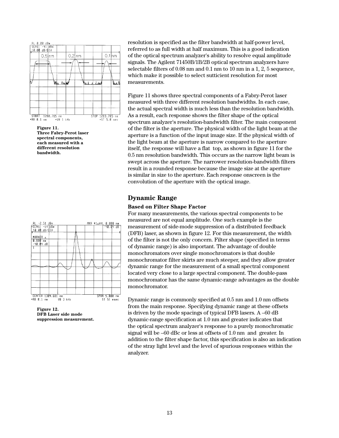

**Figure 11. Three Fabry-Perot laser spectral components, each measured with a different resolution bandwidth.**



**Figure 12. DFB Laser side mode suppression measurement.**

resolution is specified as the filter bandwidth at half-power level, referred to as full width at half maximum. This is a good indication of the optical spectrum analyzer's ability to resolve equal amplitude signals. The Agilent 71450B/1B/2B optical spectrum analyzers have selectable filters of 0.08 nm and 0.1 nm to 10 nm in a 1, 2, 5 sequence, which make it possible to select sutticient resolution for most measurements.

Figure 11 shows three spectral components of a Fabry-Perot laser measured with three different resolution bandwidths. In each case, the actual spectral width is much less than the resolution bandwidth. As a result, each response shows the filter shape of the optical spectrum analyzer's resolution-bandwidth filter. The main component of the filter is the aperture. The physical width of the light beam at the aperture is a function of the input image size. If the physical width of the light beam at the aperture is narrow compared to the aperture itself, the response will have a flat top, as shown in figure 11 for the 0.5 nm resolution bandwidth. This occurs as the narrow light beam is swept across the aperture. The narrower resolution-bandwidth filters result in a rounded response because the image size at the aperture is similar in size to the aperture. Each response onscreen is the convolution of the aperture with the optical image.

# **Dynamic Range**

# **Based on Filter Shape Factor**

For many measurements, the various spectral components to be measured are not equal amplitude. One such example is the measurement of side-mode suppression of a distributed feedback (DFB) laser, as shown in figure 12. For this measurement, the width of the filter is not the only concern. Filter shape (specified in terms of dynamic range) is also important. The advantage of double monochromators over single monochromators is that double monochromator filter skirts are much steeper, and they allow greater dynamic range for the measurement of a small spectral component located very close to a large spectral component. The double-pass monochromator has the same dynamic-range advantages as the double monochromator.

Dynamic range is commonly specified at 0.5 nm and 1.0 nm offsets from the main response. Specifying dynamic range at these offsets is driven by the mode spacings of typical DFB lasers. A –60 dB dynamic-range specification at 1.0 nm and greater indicates that the optical spectrum analyzer's response to a purely monochromatic signal will be –60 dBc or less at offsets of 1.0 nm and greater. In addition to the filter shape factor, this specification is also an indication of the stray light level and the level of spurious responses within the analyzer.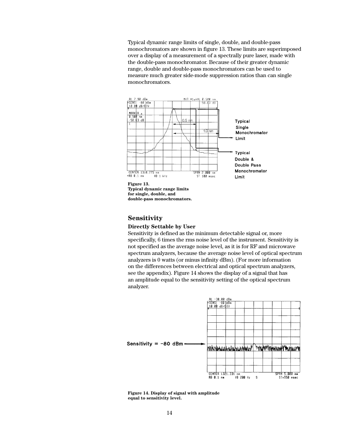Typical dynamic range limits of single, double, and double-pass monochromators are shown in figure 13. These limits are superimposed over a display of a measurement of a spectrally pure laser, made with the double-pass monochromator. Because of their greater dynamic range, double and double-pass monochromators can be used to measure much greater side-mode suppression ratios than can single monochromators.



# **Sensitivity**

#### **Directly Settable by User**

Sensitivity is defined as the minimum detectable signal or, more specifically, 6 times the rms noise level of the instrument. Sensitivity is not specified as the average noise level, as it is for RF and microwave spectrum analyzers, because the average noise level of optical spectrum analyzers is 0 watts (or minus infinity dBm). (For more information on the differences between electrical and optical spectrum analyzers, see the appendix). Figure 14 shows the display of a signal that has an amplitude equal to the sensitivity setting of the optical spectrum analyzer.



**Figure 14. Display of signal with amplitude equal to sensitivity level.**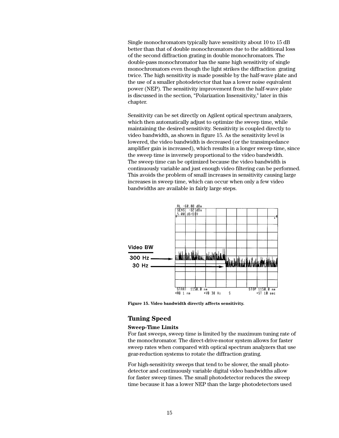Single monochromators typically have sensitivity about 10 to 15 dB better than that of double monochromators due to the additional loss of the second diffraction grating in double monochromators. The double-pass monochromator has the same high sensitivity of single monochromators even though the light strikes the diffraction grating twice. The high sensitivity is made possible by the half-wave plate and the use of a smaller photodetector that has a lower noise equivalent power (NEP). The sensitivity improvement from the half-wave plate is discussed in the section, "Polarization Insensitivity," later in this chapter.

Sensitivity can be set directly on Agilent optical spectrum analyzers, which then automatically adjust to optimize the sweep time, while maintaining the desired sensitivity. Sensitivity is coupled directly to video bandwidth, as shown in figure 15. As the sensitivity level is lowered, the video bandwidth is decreased (or the transimpedance amplifier gain is increased), which results in a longer sweep time, since the sweep time is inversely proportional to the video bandwidth. The sweep time can be optimized because the video bandwidth is continuously variable and just enough video filtering can be performed. This avoids the problem of small increases in sensitivity causing large increases in sweep time, which can occur when only a few video bandwidths are available in fairly large steps.



**Figure 15. Video bandwidth directly affects sensitivity.**

# **Tuning Speed**

### **Sweep-Time Limits**

For fast sweeps, sweep time is limited by the maximum tuning rate of the monochromator. The direct-drive-motor system allows for faster sweep rates when compared with optical spectrum analyzers that use gear-reduction systems to rotate the diffraction grating.

For high-sensitivity sweeps that tend to be slower, the small photodetector and continuously variable digital video bandwidths allow for faster sweep times. The small photodetector reduces the sweep time because it has a lower NEP than the large photodetectors used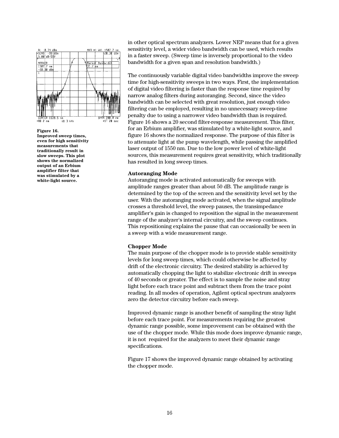



in other optical spectrum analyzers. Lower NEP means that for a given sensitivity level, a wider video bandwidth can be used, which results in a faster sweep. (Sweep time is inversely proportional to the video bandwidth for a given span and resolution bandwidth.)

The continuously variable digital video bandwidths improve the sweep time for high-sensitivity sweeps in two ways. First, the implementation of digital video filtering is faster than the response time required by narrow analog filters during autoranging. Second, since the video bandwidth can be selected with great resolution, just enough video filtering can be employed, resulting in no unnecessary sweep-time penalty due to using a narrower video bandwidth than is required. Figure 16 shows a 20 second filter-response measurement. This filter, for an Erbium amplifier, was stimulated by a white-light source, and figure 16 shows the normalized response. The purpose of this filter is to attenuate light at the pump wavelength, while passing the amplified laser output of 1550 nm. Due to the low power level of white-light sources, this measurement requires great sensitivity, which traditionally has resulted in long sweep times.

#### **Autoranging Mode**

Autoranging mode is activated automatically for sweeps with amplitude ranges greater than about 50 dB. The amplitude range is determined by the top of the screen and the sensitivity level set by the user. With the autoranging mode activated, when the signal amplitude crosses a threshold level, the sweep pauses, the transimpedance amplifier's gain is changed to reposition the signal in the measurement range of the analyzer's internal circuitry, and the sweep continues. This repositioning explains the pause that can occasionally be seen in a sweep with a wide measurement range.

#### **Chopper Mode**

The main purpose of the chopper mode is to provide stable sensitivity levels for long sweep times, which could otherwise be affected by drift of the electronic circuitry. The desired stability is achieved by automatically chopping the light to stabilize electronic drift in sweeps of 40 seconds or greater. The effect is to sample the noise and stray light before each trace point and subtract them from the trace point reading. In all modes of operation, Agilent optical spectrum analyzers zero the detector circuitry before each sweep.

Improved dynamic range is another benefit of sampling the stray light before each trace point. For measurements requiring the greatest dynamic range possible, some improvement can be obtained with the use of the chopper mode. While this mode does improve dynamic range, it is not required for the analyzers to meet their dynamic range specifications.

Figure 17 shows the improved dynamic range obtained by activating the chopper mode.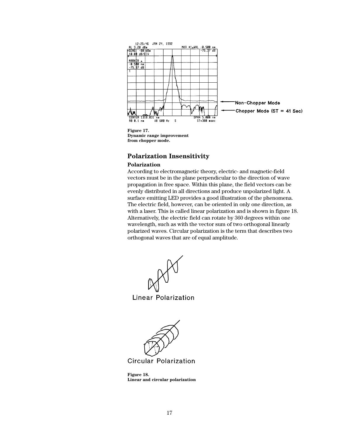

**Dynamic range improvement from chopper mode.**

# **Polarization Insensitivity**

# **Polarization**

According to electromagnetic theory, electric- and magnetic-field vectors must be in the plane perpendicular to the direction of wave propagation in free space. Within this plane, the field vectors can be evenly distributed in all directions and produce unpolarized light. A surface emitting LED provides a good illustration of the phenomena. The electric field, however, can be oriented in only one direction, as with a laser. This is called linear polarization and is shown in figure 18. Alternatively, the electric field can rotate by 360 degrees within one wavelength, such as with the vector sum of two orthogonal linearly polarized waves. Circular polarization is the term that describes two orthogonal waves that are of equal amplitude.

**Linear Polarization** 



**Circular Polarization** 

**Figure 18. Linear and circular polarization**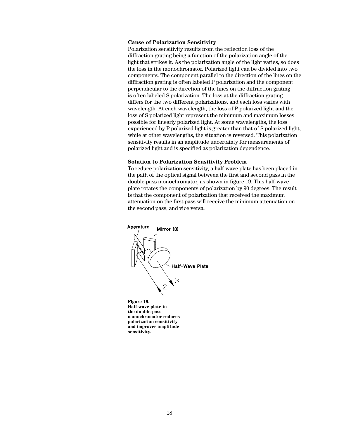# **Cause of Polarization Sensitivity**

Polarization sensitivity results from the reflection loss of the diffraction grating being a function of the polarization angle of the light that strikes it. As the polarization angle of the light varies, so does the loss in the monochromator. Polarized light can be divided into two components. The component parallel to the direction of the lines on the diffraction grating is often labeled P polarization and the component perpendicular to the direction of the lines on the diffraction grating is often labeled S polarization. The loss at the diffraction grating differs for the two different polarizations, and each loss varies with wavelength. At each wavelength, the loss of P polarized light and the loss of S polarized light represent the minimum and maximum losses possible for linearly polarized light. At some wavelengths, the loss experienced by P polarized light is greater than that of S polarized light, while at other wavelengths, the situation is reversed. This polarization sensitivity results in an amplitude uncertainty for measurements of polarized light and is specified as polarization dependence.

#### **Solution to Polarization Sensitivity Problem**

To reduce polarization sensitivity, a half-wave plate has been placed in the path of the optical signal between the first and second pass in the double-pass monochromator, as shown in figure 19. This half-wave plate rotates the components of polarization by 90 degrees. The result is that the component of polarization that received the maximum attenuation on the first pass will receive the minimum attenuation on the second pass, and vice versa.



**sensitivity.**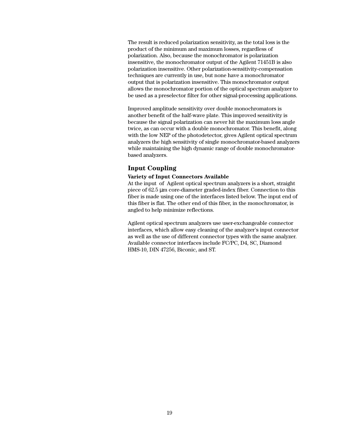The result is reduced polarization sensitivity, as the total loss is the product of the minimum and maximum losses, regardless of polarization. Also, because the monochromator is polarization insensitive, the monochromator output of the Agilent 71451B is also polarization insensitive. Other polarization-sensitivity-compensation techniques are currently in use, but none have a monochromator output that is polarization insensitive. This monochromator output allows the monochromator portion of the optical spectrum analyzer to be used as a preselector filter for other signal-processing applications.

Improved amplitude sensitivity over double monochromators is another benefit of the half-wave plate. This improved sensitivity is because the signal polarization can never hit the maximum loss angle twice, as can occur with a double monochromator. This benefit, along with the low NEP of the photodetector, gives Agilent optical spectrum analyzers the high sensitivity of single monochromator-based analyzers while maintaining the high dynamic range of double monochromatorbased analyzers.

# **Input Coupling**

### **Variety of Input Connectors Available**

At the input of Agilent optical spectrum analyzers is a short, straight piece of 62.5 µm core-diameter graded-index fiber. Connection to this fiber is made using one of the interfaces listed below. The input end of this fiber is flat. The other end of this fiber, in the monochromator, is angled to help minimize reflections.

Agilent optical spectrum analyzers use user-exchangeable connector interfaces, which allow easy cleaning of the analyzer's input connector as well as the use of different connector types with the same analyzer. Available connector interfaces include FC/PC, D4, SC, Diamond HMS-10, DIN 47256, Biconic, and ST.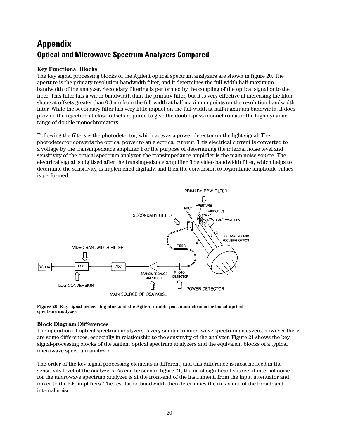# **Appendix Optical and Microwave Spectrum Analyzers Compared**

# **Key Functional Blocks**

The key signal processing blocks of the Agilent optical spectrum analyzers are shown in figure 20. The aperture is the primary resolution-bandwidth filter, and it determines the full-width-half-maximum bandwidth of the analyzer. Secondary filtering is performed by the coupling of the optical signal onto the fiber. This filter has a wider bandwidth than the primary filter, but it is very effective at increasing the filter shape at offsets greater than 0.3 nm from the full-width at half-maximum points on the resolution bandwidth filter. While the secondary filter has very little impact on the full-width at half-maximum bandwidth, it does provide the rejection at close offsets required to give the double-pass monochromator the high dynamic range of double monochromators.

Following the filters is the photodetector, which acts as a power detector on the light signal. The photodetector converts the optical power to an electrical current. This electrical current is converted to a voltage by the transimpedance amplifier. For the purpose of determining the internal noise level and sensitivity of the optical spectrum analyzer, the transimpedance amplifier is the main noise source. The electrical signal is digitized after the transimpedance amplifier. The video bandwidth filter, which helps to determine the sensitivity, is implemened digitally, and then the conversion to logarithmic amplitude values is performed.



**Figure 20. Key signal processing blocks of the Agilent double-pass monochromator based optical spectrum analyzers.**

# **Block Diagram Differences**

The operation of optical spectrum analyzers is very similar to microwave spectrum analyzers; however there are some differences, especially in relationship to the sensitivity of the analyzer. Figure 21 shows the key signal-processing blocks of the Agilent optical spectrum analyzers and the equivalent blocks of a typical microwave spectrum analyzer.

The order of the key signal processing elements is different, and this difference is most noticed in the sensitivity level of the analyzers. As can be seen in figure 21, the most significant source of internal noise for the microwave spectrum analyzer is at the front-end of the instrument, from the input attenuator and mixer to the EF amplifiers. The resolution bandwidth then determines the rms value of the broadband intemal noise.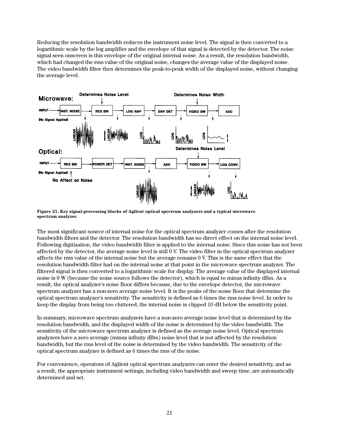Reducing the resolution bandwidth reduces the instrument noise level. The signal is then converted to a logarithmic scale by the log amplifier and the envelope of that signal is detected by the detector. The noise signal seen onscreen is this envelope of the original internal noise. As a result, the resolution bandwidth, which had changed the rms value of the original noise, changes the average value of the displayed noise. The video bandwidth filter then determines the peak-to-peak width of the displayed noise, without changing the average level.



**Figure 21. Key signal-processing blocks of Agilent optical spectrum analyzers and a typical microwave spectrum analyzer.**

The most significant source of internal noise for the optical spectrum analyzer comes after the resolution bandwidth filters and the detector. The resolution bandwidth has no direct effect on the internal noise level. Following digitization, the video bandwidth filter is applied to the internal noise. Since this noise has not been affected by the detector, the average noise level is still 0 V. The video filter in the optical spectrum analyzer affects the rms value of the internal noise but the average remains 0 V. This is the same effect that the resolution bandwidth filter had on the internal noise at that point in the microwave spectrum analyzer. The filtered signal is then converted to a logarithmic scale for display. The average value of the displayed internal noise is 0 W (because the noise source follows the detector), which is equal to minus infinity dBm. As a result, the optical analyzer's noise floor differs because, due to the envelope detector, the microwave spectrum analyzer has a non-zero average noise level. It is the peaks of the noise floor that determine the optical spectrum analyzer's sensitivity. The sensitivity is defined as 6 times the rms noise level. In order to keep the display from being too cluttered, the internal noise is clipped 10 dB below the sensitivity point.

In summary, microwave spectrum analyzers have a non-zero average noise level that is determined by the resolution bandwidth, and the displayed width of the noise is determined by the video bandwidth. The sensitivity of the microwave spectrum analyzer is defined as the average noise level. Optical spectrum analyzers have a zero average (minus infinity dBm) noise level that is not affected by the resolution bandwidth, but the rms level of the noise is determined by the video bandwidth. The sensitivity of the optical spectrum analyzer is defined as 6 times the rms of the noise.

For convenience, operators of Agilent optical spectrum analyzers can enter the desired sensitivity, and as a result, the appropriate instrument settings, including video bandwidth and sweep time, are automatically determined and set.